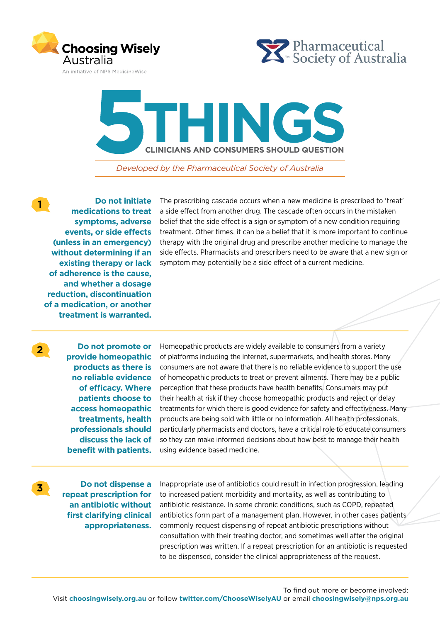





*Developed by the Pharmaceutical Society of Australia* 

**1 Do not initiate medications to treat symptoms, adverse events, or side effects (unless in an emergency) without determining if an existing therapy or lack of adherence is the cause, and whether a dosage reduction, discontinuation of a medication, or another treatment is warranted.**

The prescribing cascade occurs when a new medicine is prescribed to 'treat' a side effect from another drug. The cascade often occurs in the mistaken belief that the side effect is a sign or symptom of a new condition requiring treatment. Other times, it can be a belief that it is more important to continue therapy with the original drug and prescribe another medicine to manage the side effects. Pharmacists and prescribers need to be aware that a new sign or symptom may potentially be a side effect of a current medicine.

**2 Do not promote or provide homeopathic products as there is no reliable evidence of efficacy. Where patients choose to access homeopathic treatments, health professionals should discuss the lack of benefit with patients.**

Homeopathic products are widely available to consumers from a variety of platforms including the internet, supermarkets, and health stores. Many consumers are not aware that there is no reliable evidence to support the use of homeopathic products to treat or prevent ailments. There may be a public perception that these products have health benefits. Consumers may put their health at risk if they choose homeopathic products and reject or delay treatments for which there is good evidence for safety and effectiveness. Many products are being sold with little or no information. All health professionals, particularly pharmacists and doctors, have a critical role to educate consumers so they can make informed decisions about how best to manage their health using evidence based medicine.

**3 Do not dispense a repeat prescription for an antibiotic without first clarifying clinical appropriateness.**

Inappropriate use of antibiotics could result in infection progression, leading to increased patient morbidity and mortality, as well as contributing to antibiotic resistance. In some chronic conditions, such as COPD, repeated antibiotics form part of a management plan. However, in other cases patients commonly request dispensing of repeat antibiotic prescriptions without consultation with their treating doctor, and sometimes well after the original prescription was written. If a repeat prescription for an antibiotic is requested to be dispensed, consider the clinical appropriateness of the request.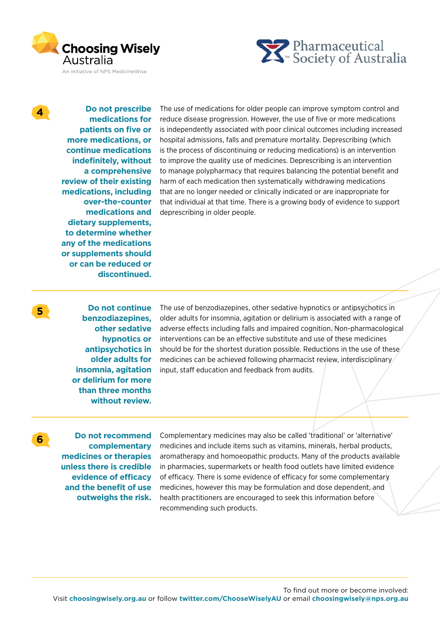



**4 Do not prescribe medications for patients on five or more medications, or continue medications indefinitely, without a comprehensive review of their existing medications, including over-the-counter medications and dietary supplements, to determine whether any of the medications or supplements should or can be reduced or discontinued.**

The use of medications for older people can improve symptom control and reduce disease progression. However, the use of five or more medications is independently associated with poor clinical outcomes including increased hospital admissions, falls and premature mortality. Deprescribing (which is the process of discontinuing or reducing medications) is an intervention to improve the quality use of medicines. Deprescribing is an intervention to manage polypharmacy that requires balancing the potential benefit and harm of each medication then systematically withdrawing medications that are no longer needed or clinically indicated or are inappropriate for that individual at that time. There is a growing body of evidence to support deprescribing in older people.

**5 Do not continue benzodiazepines, other sedative hypnotics or antipsychotics in older adults for insomnia, agitation or delirium for more than three months without review.**

The use of benzodiazepines, other sedative hypnotics or antipsychotics in older adults for insomnia, agitation or delirium is associated with a range of adverse effects including falls and impaired cognition. Non-pharmacological interventions can be an effective substitute and use of these medicines should be for the shortest duration possible. Reductions in the use of these medicines can be achieved following pharmacist review, interdisciplinary input, staff education and feedback from audits.

**6 Do not recommend complementary medicines or therapies unless there is credible evidence of efficacy and the benefit of use outweighs the risk.** 

Complementary medicines may also be called 'traditional' or 'alternative' medicines and include items such as vitamins, minerals, herbal products, aromatherapy and homoeopathic products. Many of the products available in pharmacies, supermarkets or health food outlets have limited evidence of efficacy. There is some evidence of efficacy for some complementary medicines, however this may be formulation and dose dependent, and health practitioners are encouraged to seek this information before recommending such products.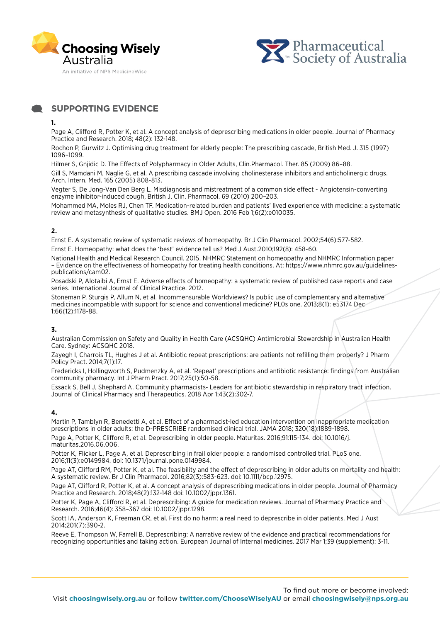



**SUPPORTING EVIDENCE**

### **1.**

Page A, Clifford R, Potter K, et al. A concept analysis of deprescribing medications in older people. Journal of Pharmacy Practice and Research. 2018; 48(2): 132-148.

Rochon P, Gurwitz J. Optimising drug treatment for elderly people: The prescribing cascade, British Med. J. 315 (1997) 1096–1099.

Hilmer S, Gnjidic D. The Effects of Polypharmacy in Older Adults, Clin.Pharmacol. Ther. 85 (2009) 86–88. Gill S, Mamdani M, Naglie G, et al. A prescribing cascade involving cholinesterase inhibitors and anticholinergic drugs. Arch. Intern. Med. 165 (2005) 808-813.

Vegter S, De Jong-Van Den Berg L. Misdiagnosis and mistreatment of a common side effect - Angiotensin-converting enzyme inhibitor-induced cough, British J. Clin. Pharmacol. 69 (2010) 200–203.

Mohammed MA, Moles RJ, Chen TF. Medication-related burden and patients' lived experience with medicine: a systematic review and metasynthesis of qualitative studies. BMJ Open. 2016 Feb 1;6(2):e010035.

# **2.**

Ernst E. A systematic review of systematic reviews of homeopathy. Br J Clin Pharmacol. 2002;54(6):577-582.

Ernst E. Homeopathy: what does the 'best' evidence tell us? Med J Aust.2010;192(8): 458-60.

National Health and Medical Research Council. 2015. NHMRC Statement on homeopathy and NHMRC Information paper – Evidence on the effectiveness of homeopathy for treating health conditions. At: https://www.nhmrc.gov.au/guidelinespublications/cam02.

Posadski P, Alotaibi A, Ernst E. Adverse effects of homeopathy: a systematic review of published case reports and case series. International Journal of Clinical Practice. 2012.

Stoneman P, Sturgis P, Allum N, et al. Incommensurable Worldviews? Is public use of complementary and alternative medicines incompatible with support for science and conventional medicine? PL0s one. 2013;8(1): e53174 Dec 1;66(12):1178-88.

# **3.**

Australian Commission on Safety and Quality in Health Care (ACSQHC) Antimicrobial Stewardship in Australian Health Care. Sydney: ACSQHC 2018.

Zayegh I, Charrois TL, Hughes J et al. Antibiotic repeat prescriptions: are patients not refilling them properly? J Pharm Policy Pract. 2014;7(1):17.

Fredericks I, Hollingworth S, Pudmenzky A, et al. 'Repeat' prescriptions and antibiotic resistance: findings from Australian community pharmacy. Int J Pharm Pract. 2017;25(1):50-58.

Essack S, Bell J, Shephard A. Community pharmacists- Leaders for antibiotic stewardship in respiratory tract infection. Journal of Clinical Pharmacy and Therapeutics. 2018 Apr 1;43(2):302-7.

# **4.**

Martin P, Tamblyn R, Benedetti A, et al. Effect of a pharmacist-led education intervention on inappropriate medication prescriptions in older adults: the D-PRESCRIBE randomised clinical trial. JAMA 2018; 320(18):1889-1898. Page A, Potter K, Clifford R, et al. Deprescribing in older people. Maturitas. 2016;91:115-134. doi: 10.1016/j.

maturitas.2016.06.006.

Potter K, Flicker L, Page A, et al. Deprescribing in frail older people: a randomised controlled trial. PLoS one. 2016;11(3):e0149984. doi: 10.1371/journal.pone.0149984.

Page AT, Clifford RM, Potter K, et al. The feasibility and the effect of deprescribing in older adults on mortality and health: A systematic review. Br J Clin Pharmacol. 2016;82(3):583-623. doi: 10.1111/bcp.12975.

Page AT, Clifford R, Potter K, et al. A concept analysis of deprescribing medications in older people. Journal of Pharmacy Practice and Research. 2018;48(2):132-148 doi: 10.1002/jppr.1361.

Potter K, Page A, Clifford R, et al. Deprescribing: A guide for medication reviews. Journal of Pharmacy Practice and Research. 2016;46(4): 358–367 doi: 10.1002/jppr.1298.

Scott IA, Anderson K, Freeman CR, et al. First do no harm: a real need to deprescribe in older patients. Med J Aust 2014;201(7):390-2.

Reeve E, Thompson W, Farrell B. Deprescribing: A narrative review of the evidence and practical recommendations for recognizing opportunities and taking action. European Journal of Internal medicines. 2017 Mar 1;39 (supplement): 3-11.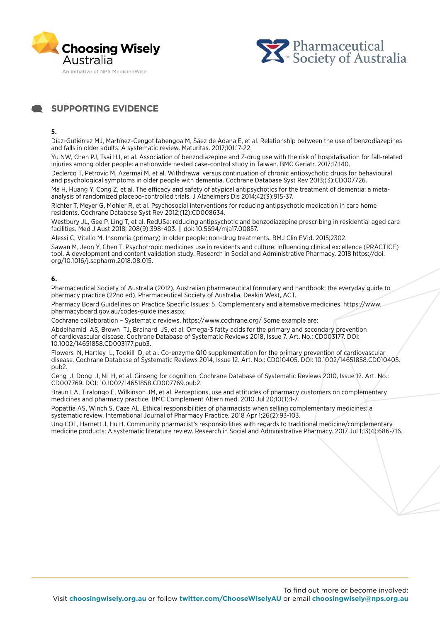



# **SUPPORTING EVIDENCE**

# **5.**

Díaz-Gutiérrez MJ, Martínez-Cengotitabengoa M, Sáez de Adana E, et al. Relationship between the use of benzodiazepines and falls in older adults: A systematic review. Maturitas. 2017;101:17-22.

Yu NW, Chen PJ, Tsai HJ, et al. Association of benzodiazepine and Z-drug use with the risk of hospitalisation for fall-related injuries among older people: a nationwide nested case-control study in Taiwan. BMC Geriatr. 2017;17:140.

Declercq T, Petrovic M, Azermai M, et al. Withdrawal versus continuation of chronic antipsychotic drugs for behavioural and psychological symptoms in older people with dementia. Cochrane Database Syst Rev 2013;(3):CD007726.

Ma H, Huang Y, Cong Z, et al. The efficacy and safety of atypical antipsychotics for the treatment of dementia: a metaanalysis of randomized placebo-controlled trials. J Alzheimers Dis 2014;42(3):915-37.

Richter T, Meyer G, Mohler R, et al. Psychosocial interventions for reducing antipsychotic medication in care home residents. Cochrane Database Syst Rev 2012;(12):CD008634.

Westbury JL, Gee P, Ling T, et al. RedUSe: reducing antipsychotic and benzodiazepine prescribing in residential aged care facilities. Med J Aust 2018; 208(9):398-403. || doi: 10.5694/mja17.00857.

Alessi C, Vitello M. Insomnia (primary) in older people: non-drug treatments. BMJ Clin EVid. 2015;2302. Sawan M, Jeon Y, Chen T. Psychotropic medicines use in residents and culture: influencing clinical excellence (PRACTICE) tool. A development and content validation study. Research in Social and Administrative Pharmacy. 2018 https://doi.

org/10.1016/j.sapharm.2018.08.015.

# **6.**

Pharmaceutical Society of Australia (2012). Australian pharmaceutical formulary and handbook: the everyday guide to pharmacy practice (22nd ed). Pharmaceutical Society of Australia, Deakin West, ACT.

Pharmacy Board Guidelines on Practice Specific Issues: 5. Complementary and alternative medicines. https://www. pharmacyboard.gov.au/codes-guidelines.aspx.

Cochrane collaboration – Systematic reviews. https://www.cochrane.org/ Some example are:

Abdelhamid AS, Brown TJ, Brainard JS, et al. Omega-3 fatty acids for the primary and secondary prevention of cardiovascular disease. Cochrane Database of Systematic Reviews 2018, Issue 7. Art. No.: CD003177. DOI: 10.1002/14651858.CD003177.pub3.

Flowers N, Hartley L, Todkill D, et al. Co-enzyme Q10 supplementation for the primary prevention of cardiovascular disease. Cochrane Database of Systematic Reviews 2014, Issue 12. Art. No.: CD010405. DOI: 10.1002/14651858.CD010405. pub2.

Geng J, Dong J, Ni H, et al. Ginseng for cognition. Cochrane Database of Systematic Reviews 2010, Issue 12. Art. No.: CD007769. DOI: 10.1002/14651858.CD007769.pub2.

Braun LA, Tiralongo E, Wilkinson JM, et al. Perceptions, use and attitudes of pharmacy customers on complementary medicines and pharmacy practice. BMC Complement Altern med. 2010 Jul 20;10(1):1-7.

Popattia AS, Winch S, Caze AL. Ethical responsibilities of pharmacists when selling complementary medicines: a systematic review. International Journal of Pharmacy Practice. 2018 Apr 1;26(2):93-103.

Ung COL, Harnett J, Hu H. Community pharmacist's responsibilities with regards to traditional medicine/complementary medicine products: A systematic literature review. Research in Social and Administrative Pharmacy. 2017 Jul 1;13(4):686-716.